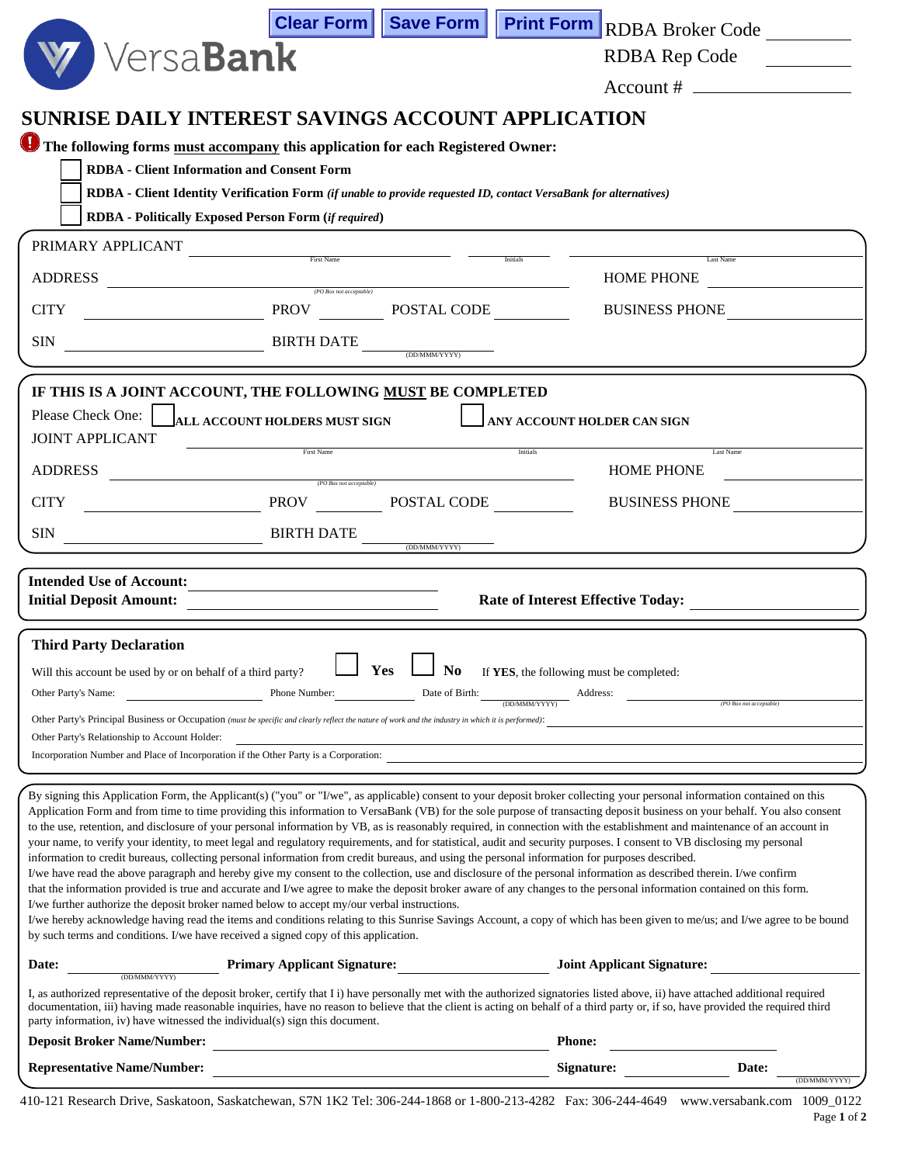|                                                                                                                                                                                                                                                                                                                                                                                                                                                                                                                                                                                                                                                                                                                                                                                                                                                                                                                                                                                                                                                                                                                                                                                                                                                                                                                                                                                                                                                                                                                                                                                      |                                                                                                                       |                              |                                          | Clear Form   Save Form   Print Form   RDBA Broker Code |
|--------------------------------------------------------------------------------------------------------------------------------------------------------------------------------------------------------------------------------------------------------------------------------------------------------------------------------------------------------------------------------------------------------------------------------------------------------------------------------------------------------------------------------------------------------------------------------------------------------------------------------------------------------------------------------------------------------------------------------------------------------------------------------------------------------------------------------------------------------------------------------------------------------------------------------------------------------------------------------------------------------------------------------------------------------------------------------------------------------------------------------------------------------------------------------------------------------------------------------------------------------------------------------------------------------------------------------------------------------------------------------------------------------------------------------------------------------------------------------------------------------------------------------------------------------------------------------------|-----------------------------------------------------------------------------------------------------------------------|------------------------------|------------------------------------------|--------------------------------------------------------|
| Versa <b>Bank</b>                                                                                                                                                                                                                                                                                                                                                                                                                                                                                                                                                                                                                                                                                                                                                                                                                                                                                                                                                                                                                                                                                                                                                                                                                                                                                                                                                                                                                                                                                                                                                                    |                                                                                                                       |                              |                                          | RDBA Rep Code                                          |
|                                                                                                                                                                                                                                                                                                                                                                                                                                                                                                                                                                                                                                                                                                                                                                                                                                                                                                                                                                                                                                                                                                                                                                                                                                                                                                                                                                                                                                                                                                                                                                                      |                                                                                                                       |                              |                                          | $Account # \_$                                         |
| <b>SUNRISE DAILY INTEREST SAVINGS ACCOUNT APPLICATION</b>                                                                                                                                                                                                                                                                                                                                                                                                                                                                                                                                                                                                                                                                                                                                                                                                                                                                                                                                                                                                                                                                                                                                                                                                                                                                                                                                                                                                                                                                                                                            |                                                                                                                       |                              |                                          |                                                        |
| The following forms must accompany this application for each Registered Owner:                                                                                                                                                                                                                                                                                                                                                                                                                                                                                                                                                                                                                                                                                                                                                                                                                                                                                                                                                                                                                                                                                                                                                                                                                                                                                                                                                                                                                                                                                                       |                                                                                                                       |                              |                                          |                                                        |
| <b>RDBA</b> - Client Information and Consent Form<br>RDBA - Client Identity Verification Form (if unable to provide requested ID, contact VersaBank for alternatives)                                                                                                                                                                                                                                                                                                                                                                                                                                                                                                                                                                                                                                                                                                                                                                                                                                                                                                                                                                                                                                                                                                                                                                                                                                                                                                                                                                                                                |                                                                                                                       |                              |                                          |                                                        |
| <b>RDBA</b> - Politically Exposed Person Form (if required)                                                                                                                                                                                                                                                                                                                                                                                                                                                                                                                                                                                                                                                                                                                                                                                                                                                                                                                                                                                                                                                                                                                                                                                                                                                                                                                                                                                                                                                                                                                          |                                                                                                                       |                              |                                          |                                                        |
| PRIMARY APPLICANT<br>$\begin{tabular}{c} \bf - \color{red} \bf -- \color{green} \bf -- \color{green} \bf -- \color{green} \bf -- \color{green} \bf -- \color{green} \bf -- \color{green} \bf -- \color{green} \bf -- \color{green} \bf -- \color{green} \bf -- \color{green} \bf -- \color{green} \bf -- \color{green} \bf -- \color{green} \bf -- \color{green} \bf -- \color{green} \bf -- \color{green} \bf -- \color{green} \bf -- \color{green} \bf -- \color{green} \bf -- \color{green} \bf -- \color{green} \bf -- \color{green} \bf -- \color{green} \bf -- \color{green} \bf -- \color{green} \bf -- \$                                                                                                                                                                                                                                                                                                                                                                                                                                                                                                                                                                                                                                                                                                                                                                                                                                                                                                                                                                    |                                                                                                                       |                              |                                          |                                                        |
| ADDRESS<br>$(PO$ Box not acceptable)                                                                                                                                                                                                                                                                                                                                                                                                                                                                                                                                                                                                                                                                                                                                                                                                                                                                                                                                                                                                                                                                                                                                                                                                                                                                                                                                                                                                                                                                                                                                                 |                                                                                                                       |                              | Initials                                 | Last Name<br><b>HOME PHONE</b>                         |
| PROV POSTAL CODE<br><b>CITY</b>                                                                                                                                                                                                                                                                                                                                                                                                                                                                                                                                                                                                                                                                                                                                                                                                                                                                                                                                                                                                                                                                                                                                                                                                                                                                                                                                                                                                                                                                                                                                                      |                                                                                                                       |                              |                                          | <b>BUSINESS PHONE</b>                                  |
| $\overline{\text{BIRTH}\text{ DATE}}$<br><b>SIN</b>                                                                                                                                                                                                                                                                                                                                                                                                                                                                                                                                                                                                                                                                                                                                                                                                                                                                                                                                                                                                                                                                                                                                                                                                                                                                                                                                                                                                                                                                                                                                  |                                                                                                                       |                              |                                          |                                                        |
|                                                                                                                                                                                                                                                                                                                                                                                                                                                                                                                                                                                                                                                                                                                                                                                                                                                                                                                                                                                                                                                                                                                                                                                                                                                                                                                                                                                                                                                                                                                                                                                      |                                                                                                                       |                              |                                          |                                                        |
| IF THIS IS A JOINT ACCOUNT, THE FOLLOWING MUST BE COMPLETED<br>Please Check One:<br>ALL ACCOUNT HOLDERS MUST SIGN                                                                                                                                                                                                                                                                                                                                                                                                                                                                                                                                                                                                                                                                                                                                                                                                                                                                                                                                                                                                                                                                                                                                                                                                                                                                                                                                                                                                                                                                    |                                                                                                                       |                              |                                          |                                                        |
| <b>JOINT APPLICANT</b>                                                                                                                                                                                                                                                                                                                                                                                                                                                                                                                                                                                                                                                                                                                                                                                                                                                                                                                                                                                                                                                                                                                                                                                                                                                                                                                                                                                                                                                                                                                                                               |                                                                                                                       |                              | ANY ACCOUNT HOLDER CAN SIGN              |                                                        |
| <b>ADDRESS</b>                                                                                                                                                                                                                                                                                                                                                                                                                                                                                                                                                                                                                                                                                                                                                                                                                                                                                                                                                                                                                                                                                                                                                                                                                                                                                                                                                                                                                                                                                                                                                                       | First Name                                                                                                            |                              | Initials                                 | Last Name<br><b>HOME PHONE</b>                         |
| PROV POSTAL CODE<br><b>CITY</b>                                                                                                                                                                                                                                                                                                                                                                                                                                                                                                                                                                                                                                                                                                                                                                                                                                                                                                                                                                                                                                                                                                                                                                                                                                                                                                                                                                                                                                                                                                                                                      | (PO Box not acceptable)                                                                                               |                              |                                          | <b>BUSINESS PHONE</b>                                  |
| $\overline{\text{BIRTH}\text{ DATE}}$<br><b>SIN</b>                                                                                                                                                                                                                                                                                                                                                                                                                                                                                                                                                                                                                                                                                                                                                                                                                                                                                                                                                                                                                                                                                                                                                                                                                                                                                                                                                                                                                                                                                                                                  |                                                                                                                       |                              |                                          |                                                        |
| <b>Intended Use of Account:</b>                                                                                                                                                                                                                                                                                                                                                                                                                                                                                                                                                                                                                                                                                                                                                                                                                                                                                                                                                                                                                                                                                                                                                                                                                                                                                                                                                                                                                                                                                                                                                      |                                                                                                                       |                              |                                          |                                                        |
| <b>Initial Deposit Amount:</b>                                                                                                                                                                                                                                                                                                                                                                                                                                                                                                                                                                                                                                                                                                                                                                                                                                                                                                                                                                                                                                                                                                                                                                                                                                                                                                                                                                                                                                                                                                                                                       | <u> 1989 - John Stein, mars and de Branch and de Branch and de Branch and de Branch and de Branch and de Branch a</u> |                              |                                          | Rate of Interest Effective Today:                      |
| <b>Third Party Declaration</b>                                                                                                                                                                                                                                                                                                                                                                                                                                                                                                                                                                                                                                                                                                                                                                                                                                                                                                                                                                                                                                                                                                                                                                                                                                                                                                                                                                                                                                                                                                                                                       |                                                                                                                       |                              |                                          |                                                        |
| Will this account be used by or on behalf of a third party?                                                                                                                                                                                                                                                                                                                                                                                                                                                                                                                                                                                                                                                                                                                                                                                                                                                                                                                                                                                                                                                                                                                                                                                                                                                                                                                                                                                                                                                                                                                          |                                                                                                                       | $\Box$ Yes $\Box$ No         | If YES, the following must be completed: |                                                        |
| Phone Number: Date of Birth:<br>Other Party's Name:<br>$\underbrace{\hbox{ADDMMM/YYYY}}\hbox{Address:}$<br>(PO Box not acceptable)                                                                                                                                                                                                                                                                                                                                                                                                                                                                                                                                                                                                                                                                                                                                                                                                                                                                                                                                                                                                                                                                                                                                                                                                                                                                                                                                                                                                                                                   |                                                                                                                       |                              |                                          |                                                        |
| Other Party's Principal Business or Occupation (must be specific and clearly reflect the nature of work and the industry in which it is performed):                                                                                                                                                                                                                                                                                                                                                                                                                                                                                                                                                                                                                                                                                                                                                                                                                                                                                                                                                                                                                                                                                                                                                                                                                                                                                                                                                                                                                                  |                                                                                                                       |                              |                                          |                                                        |
| Other Party's Relationship to Account Holder:<br>Incorporation Number and Place of Incorporation if the Other Party is a Corporation:                                                                                                                                                                                                                                                                                                                                                                                                                                                                                                                                                                                                                                                                                                                                                                                                                                                                                                                                                                                                                                                                                                                                                                                                                                                                                                                                                                                                                                                |                                                                                                                       |                              |                                          |                                                        |
|                                                                                                                                                                                                                                                                                                                                                                                                                                                                                                                                                                                                                                                                                                                                                                                                                                                                                                                                                                                                                                                                                                                                                                                                                                                                                                                                                                                                                                                                                                                                                                                      |                                                                                                                       |                              |                                          |                                                        |
| By signing this Application Form, the Applicant(s) ("you" or "I/we", as applicable) consent to your deposit broker collecting your personal information contained on this<br>Application Form and from time to time providing this information to VersaBank (VB) for the sole purpose of transacting deposit business on your behalf. You also consent<br>to the use, retention, and disclosure of your personal information by VB, as is reasonably required, in connection with the establishment and maintenance of an account in<br>your name, to verify your identity, to meet legal and regulatory requirements, and for statistical, audit and security purposes. I consent to VB disclosing my personal<br>information to credit bureaus, collecting personal information from credit bureaus, and using the personal information for purposes described.<br>I/we have read the above paragraph and hereby give my consent to the collection, use and disclosure of the personal information as described therein. I/we confirm<br>that the information provided is true and accurate and I/we agree to make the deposit broker aware of any changes to the personal information contained on this form.<br>I/we further authorize the deposit broker named below to accept my/our verbal instructions.<br>I/we hereby acknowledge having read the items and conditions relating to this Sunrise Savings Account, a copy of which has been given to me/us; and I/we agree to be bound<br>by such terms and conditions. I/we have received a signed copy of this application. |                                                                                                                       |                              |                                          |                                                        |
| Date:<br>(DD/MMM/YYYY)                                                                                                                                                                                                                                                                                                                                                                                                                                                                                                                                                                                                                                                                                                                                                                                                                                                                                                                                                                                                                                                                                                                                                                                                                                                                                                                                                                                                                                                                                                                                                               |                                                                                                                       | Primary Applicant Signature: |                                          | <b>Joint Applicant Signature:</b>                      |
| I, as authorized representative of the deposit broker, certify that I i) have personally met with the authorized signatories listed above, ii) have attached additional required<br>documentation, iii) having made reasonable inquiries, have no reason to believe that the client is acting on behalf of a third party or, if so, have provided the required third<br>party information, iv) have witnessed the individual(s) sign this document.                                                                                                                                                                                                                                                                                                                                                                                                                                                                                                                                                                                                                                                                                                                                                                                                                                                                                                                                                                                                                                                                                                                                  |                                                                                                                       |                              |                                          |                                                        |
| <b>Deposit Broker Name/Number:</b>                                                                                                                                                                                                                                                                                                                                                                                                                                                                                                                                                                                                                                                                                                                                                                                                                                                                                                                                                                                                                                                                                                                                                                                                                                                                                                                                                                                                                                                                                                                                                   |                                                                                                                       |                              | <b>Phone:</b>                            |                                                        |
| <b>Representative Name/Number:</b>                                                                                                                                                                                                                                                                                                                                                                                                                                                                                                                                                                                                                                                                                                                                                                                                                                                                                                                                                                                                                                                                                                                                                                                                                                                                                                                                                                                                                                                                                                                                                   |                                                                                                                       |                              | Signature:                               | Date:<br>(DD/MMM/YYYY)                                 |

410-121 Research Drive, Saskatoon, Saskatchewan, S7N 1K2 Tel: 306-244-1868 or 1-800-213-4282 Fax: 306-244-4649 www.versabank.com 1009\_0122